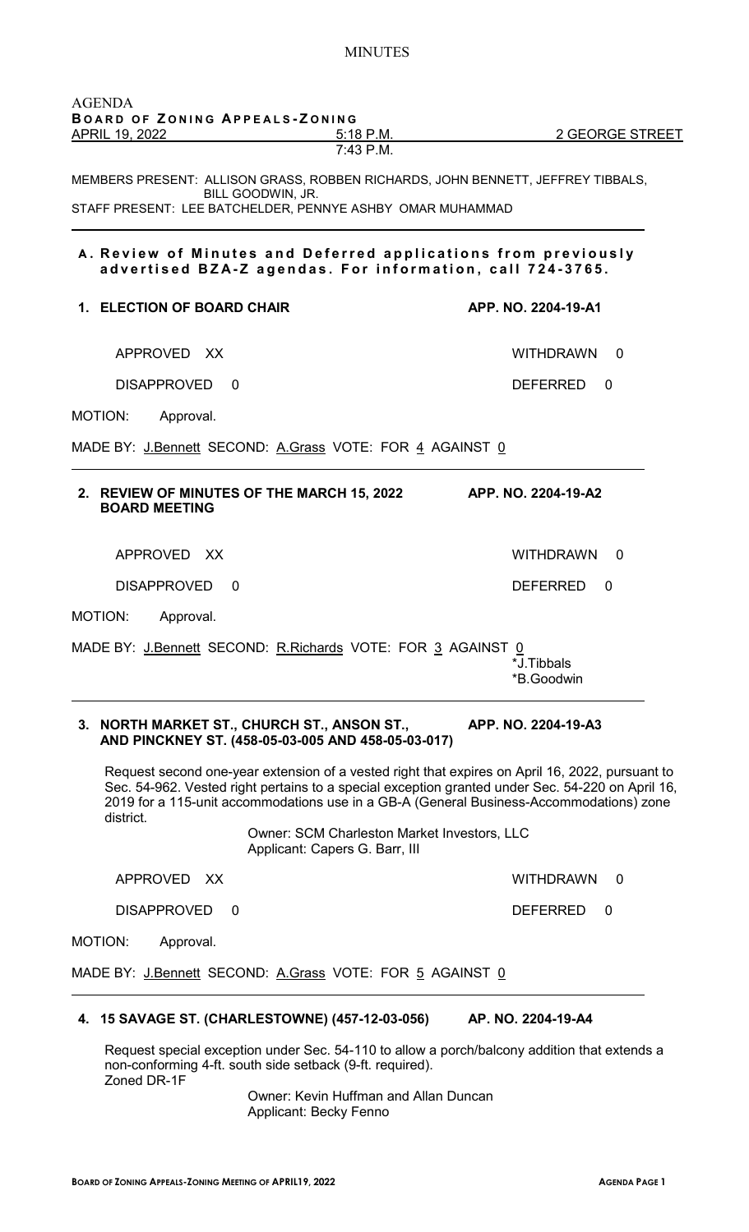| APRIL 19, 2022                                                                                                                                                                            | 5:18 P.M.<br>7:43 P.M. | 2 GEORGE STREET                                                                 |
|-------------------------------------------------------------------------------------------------------------------------------------------------------------------------------------------|------------------------|---------------------------------------------------------------------------------|
| BILL GOODWIN, JR.                                                                                                                                                                         |                        | MEMBERS PRESENT: ALLISON GRASS, ROBBEN RICHARDS, JOHN BENNETT, JEFFREY TIBBALS, |
| STAFF PRESENT: LEE BATCHELDER, PENNYE ASHBY OMAR MUHAMMAD                                                                                                                                 |                        |                                                                                 |
| A. Review of Minutes and Deferred applications from previously<br>advertised BZA-Z agendas. For information, call 724-3765.                                                               |                        |                                                                                 |
| 1. ELECTION OF BOARD CHAIR                                                                                                                                                                |                        | APP. NO. 2204-19-A1                                                             |
| APPROVED XX                                                                                                                                                                               |                        | WITHDRAWN 0                                                                     |
| <b>DISAPPROVED</b><br>0                                                                                                                                                                   |                        | <b>DEFERRED</b><br>$\Omega$                                                     |
|                                                                                                                                                                                           |                        |                                                                                 |
| Approval.                                                                                                                                                                                 |                        |                                                                                 |
|                                                                                                                                                                                           |                        |                                                                                 |
| <b>BOARD MEETING</b>                                                                                                                                                                      |                        | APP. NO. 2204-19-A2                                                             |
| APPROVED XX                                                                                                                                                                               |                        | WITHDRAWN<br>$\Omega$                                                           |
| DISAPPROVED<br>-0                                                                                                                                                                         |                        | <b>DEFERRED</b><br>0                                                            |
| Approval.                                                                                                                                                                                 |                        |                                                                                 |
| MOTION:<br>MADE BY: J.Bennett SECOND: A.Grass VOTE: FOR 4 AGAINST 0<br>2. REVIEW OF MINUTES OF THE MARCH 15, 2022<br>MOTION:<br>MADE BY: J.Bennett SECOND: R.Richards VOTE: FOR 3 AGAINST |                        | 0<br>*J.Tibbals                                                                 |

Sec. 54-962. Vested right pertains to a special exception granted under Sec. 54-220 on April 16, 2019 for a 115-unit accommodations use in a GB-A (General Business-Accommodations) zone district.

> Owner: SCM Charleston Market Investors, LLC Applicant: Capers G. Barr, III

APPROVED XX WITHDRAWN 0

DISAPPROVED 0 DEFERRED 0

MOTION: Approval.

 $\overline{a}$ 

MADE BY: J.Bennett SECOND: A.Grass VOTE: FOR 5 AGAINST 0

# **4. 15 SAVAGE ST. (CHARLESTOWNE) (457-12-03-056) AP. NO. 2204-19-A4**

Request special exception under Sec. 54-110 to allow a porch/balcony addition that extends a non-conforming 4-ft. south side setback (9-ft. required). Zoned DR-1F

Owner: Kevin Huffman and Allan Duncan Applicant: Becky Fenno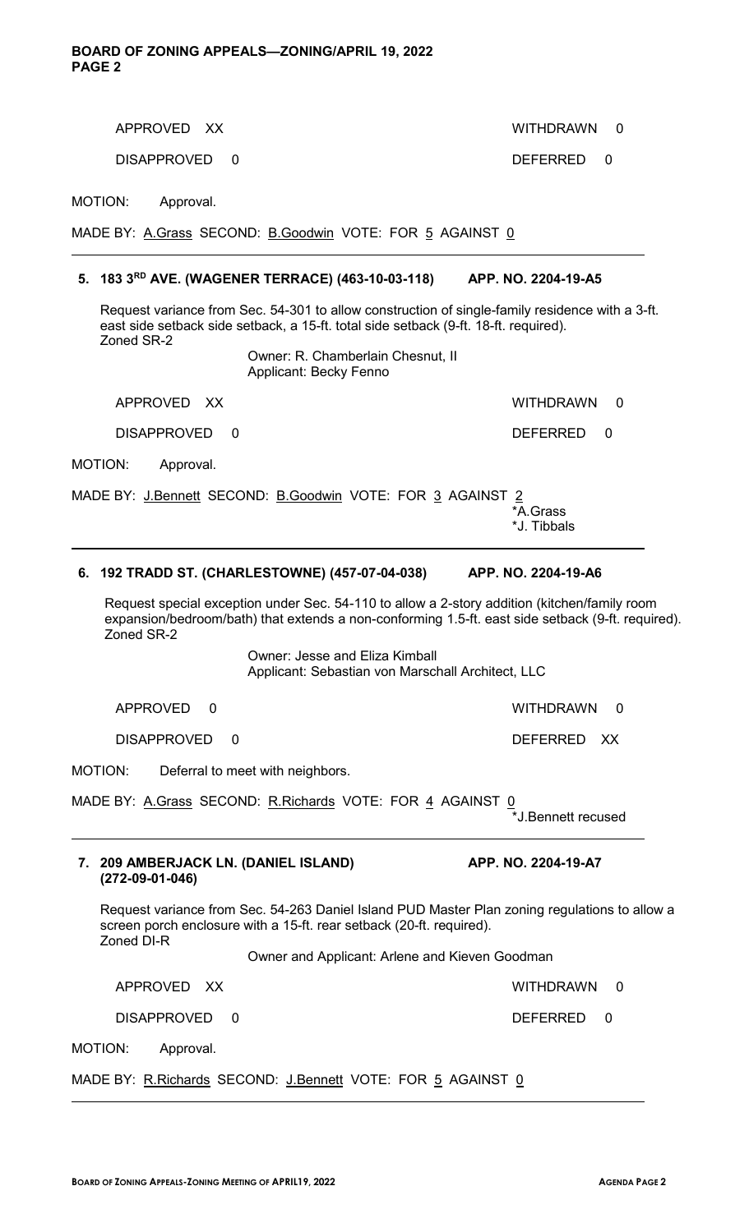APPROVED XX WITHDRAWN 0 DISAPPROVED 0 DEFERRED 0 MOTION: Approval. MADE BY: A.Grass SECOND: B.Goodwin VOTE: FOR 5 AGAINST 0  $\overline{a}$ **5. 183 3RD AVE. (WAGENER TERRACE) (463-10-03-118) APP. NO. 2204-19-A5** Request variance from Sec. 54-301 to allow construction of single-family residence with a 3-ft. east side setback side setback, a 15-ft. total side setback (9-ft. 18-ft. required). Zoned SR-2 Owner: R. Chamberlain Chesnut, II Applicant: Becky Fenno APPROVED XX WITHDRAWN 0 DISAPPROVED 0 DEFERRED 0 MOTION: Approval. MADE BY: J.Bennett SECOND: B.Goodwin VOTE: FOR 3 AGAINST 2<br>A.Grass\* \*A.Grass \*J. Tibbals  $\overline{a}$ **6. 192 TRADD ST. (CHARLESTOWNE) (457-07-04-038) APP. NO. 2204-19-A6** Request special exception under Sec. 54-110 to allow a 2-story addition (kitchen/family room expansion/bedroom/bath) that extends a non-conforming 1.5-ft. east side setback (9-ft. required). Zoned SR-2 Owner: Jesse and Eliza Kimball Applicant: Sebastian von Marschall Architect, LLC APPROVED 0 WITHDRAWN 0 DISAPPROVED 0 DEFERRED XX MOTION: Deferral to meet with neighbors. MADE BY: <u>A.Grass</u> SECOND: <u>R.Richards</u> VOTE: FOR <u>4</u> AGAINST <u>0</u> \*J.Bennett recused  $\overline{a}$ **7. 209 AMBERJACK LN. (DANIEL ISLAND) APP. NO. 2204-19-A7 (272-09-01-046)**  Request variance from Sec. 54-263 Daniel Island PUD Master Plan zoning regulations to allow a screen porch enclosure with a 15-ft. rear setback (20-ft. required). Zoned DI-R Owner and Applicant: Arlene and Kieven Goodman APPROVED XX WITHDRAWN 0 DISAPPROVED 0 DEFERRED 0 MOTION: Approval. MADE BY: R.Richards SECOND: J.Bennett VOTE: FOR 5 AGAINST 0

 $\overline{a}$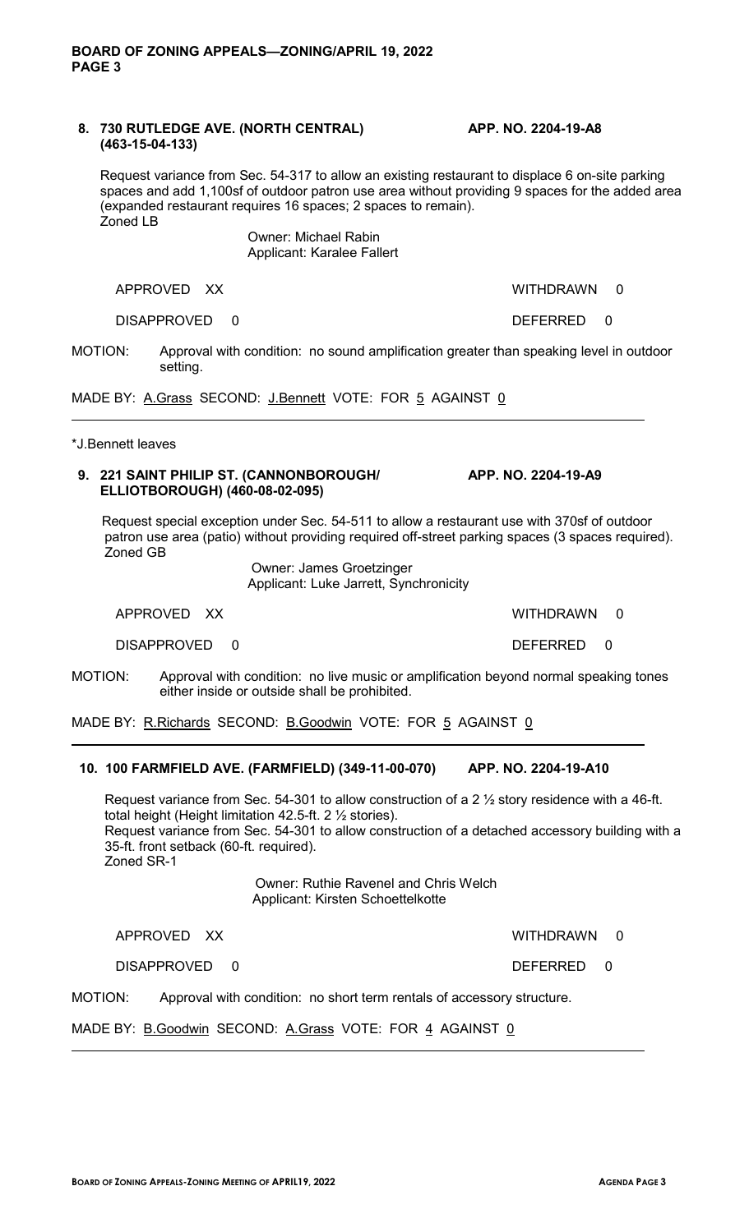#### **8. 730 RUTLEDGE AVE. (NORTH CENTRAL) APP. NO. 2204-19-A8 (463-15-04-133)**

Request variance from Sec. 54-317 to allow an existing restaurant to displace 6 on-site parking spaces and add 1,100sf of outdoor patron use area without providing 9 spaces for the added area (expanded restaurant requires 16 spaces; 2 spaces to remain). Zoned LB

> Owner: Michael Rabin Applicant: Karalee Fallert

APPROVED XX WITHDRAWN 0

DISAPPROVED 0 DEFERRED 0

MOTION: Approval with condition: no sound amplification greater than speaking level in outdoor setting.

MADE BY: A.Grass SECOND: J.Bennett VOTE: FOR 5 AGAINST 0

\*J.Bennett leaves

 $\overline{a}$ 

 $\overline{a}$ 

## **9. 221 SAINT PHILIP ST. (CANNONBOROUGH/ APP. NO. 2204-19-A9 ELLIOTBOROUGH) (460-08-02-095)**

 Request special exception under Sec. 54-511 to allow a restaurant use with 370sf of outdoor patron use area (patio) without providing required off-street parking spaces (3 spaces required). Zoned GB

Owner: James Groetzinger Applicant: Luke Jarrett, Synchronicity

APPROVED XX WITHDRAWN 0

DISAPPROVED 0 DEFERRED 0

MOTION: Approval with condition: no live music or amplification beyond normal speaking tones either inside or outside shall be prohibited.

MADE BY: R.Richards SECOND: B.Goodwin VOTE: FOR 5 AGAINST 0

## **10. 100 FARMFIELD AVE. (FARMFIELD) (349-11-00-070) APP. NO. 2204-19-A10**

Request variance from Sec. 54-301 to allow construction of a 2 ½ story residence with a 46-ft. total height (Height limitation 42.5-ft. 2 ½ stories). Request variance from Sec. 54-301 to allow construction of a detached accessory building with a 35-ft. front setback (60-ft. required). Zoned SR-1

> Owner: Ruthie Ravenel and Chris Welch Applicant: Kirsten Schoettelkotte

APPROVED XX WITHDRAWN 0

DISAPPROVED 0 DEFERRED 0

MOTION: Approval with condition: no short term rentals of accessory structure.

#### MADE BY: B.Goodwin SECOND: A.Grass VOTE: FOR 4 AGAINST 0  $\overline{a}$